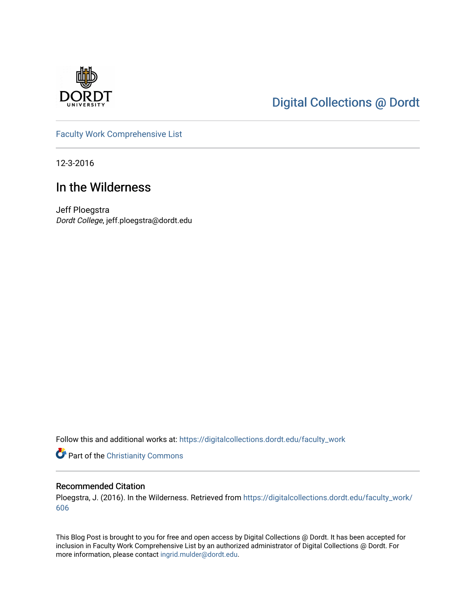

## [Digital Collections @ Dordt](https://digitalcollections.dordt.edu/)

[Faculty Work Comprehensive List](https://digitalcollections.dordt.edu/faculty_work)

12-3-2016

## In the Wilderness

Jeff Ploegstra Dordt College, jeff.ploegstra@dordt.edu

Follow this and additional works at: [https://digitalcollections.dordt.edu/faculty\\_work](https://digitalcollections.dordt.edu/faculty_work?utm_source=digitalcollections.dordt.edu%2Ffaculty_work%2F606&utm_medium=PDF&utm_campaign=PDFCoverPages) 

Part of the [Christianity Commons](http://network.bepress.com/hgg/discipline/1181?utm_source=digitalcollections.dordt.edu%2Ffaculty_work%2F606&utm_medium=PDF&utm_campaign=PDFCoverPages) 

#### Recommended Citation

Ploegstra, J. (2016). In the Wilderness. Retrieved from [https://digitalcollections.dordt.edu/faculty\\_work/](https://digitalcollections.dordt.edu/faculty_work/606?utm_source=digitalcollections.dordt.edu%2Ffaculty_work%2F606&utm_medium=PDF&utm_campaign=PDFCoverPages) [606](https://digitalcollections.dordt.edu/faculty_work/606?utm_source=digitalcollections.dordt.edu%2Ffaculty_work%2F606&utm_medium=PDF&utm_campaign=PDFCoverPages) 

This Blog Post is brought to you for free and open access by Digital Collections @ Dordt. It has been accepted for inclusion in Faculty Work Comprehensive List by an authorized administrator of Digital Collections @ Dordt. For more information, please contact [ingrid.mulder@dordt.edu.](mailto:ingrid.mulder@dordt.edu)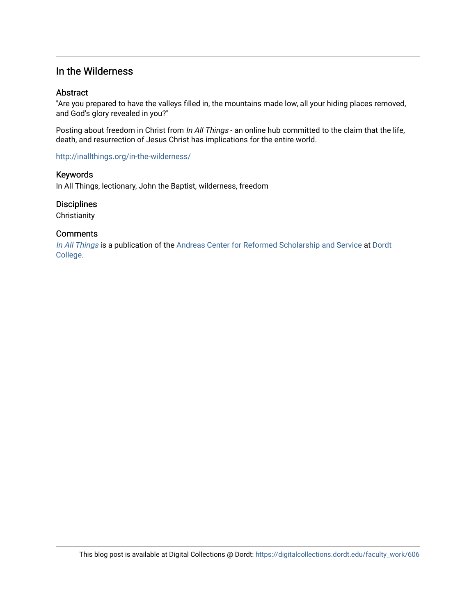### In the Wilderness

#### **Abstract**

"Are you prepared to have the valleys filled in, the mountains made low, all your hiding places removed, and God's glory revealed in you?"

Posting about freedom in Christ from In All Things - an online hub committed to the claim that the life, death, and resurrection of Jesus Christ has implications for the entire world.

<http://inallthings.org/in-the-wilderness/>

#### Keywords

In All Things, lectionary, John the Baptist, wilderness, freedom

#### **Disciplines**

**Christianity** 

#### **Comments**

[In All Things](http://inallthings.org/) is a publication of the [Andreas Center for Reformed Scholarship and Service](http://www.dordt.edu/services_support/andreas_center/) at Dordt [College](http://www.dordt.edu/).